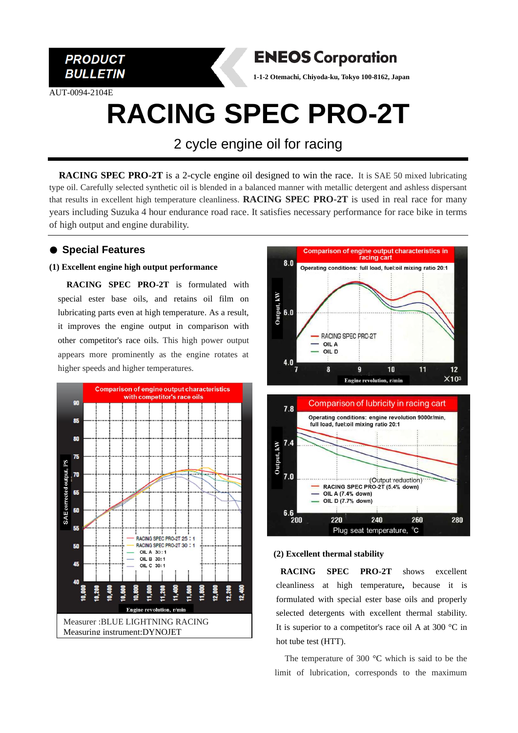

AUT-0094-2104E



**1-1-2 Otemachi, Chiyoda-ku, Tokyo 100-8162, Japan**

# **RACING SPEC PRO-2T**

2 cycle engine oil for racing

**RACING SPEC PRO-2T** is a 2-cycle engine oil designed to win the race. It is SAE 50 mixed lubricating type oil. Carefully selected synthetic oil is blended in a balanced manner with metallic detergent and ashless dispersant that results in excellent high temperature cleanliness. **RACING SPEC PRO-2T** is used in real race for many years including Suzuka 4 hour endurance road race. It satisfies necessary performance for race bike in terms of high output and engine durability.

# ● **Special Features**

#### **(1) Excellent engine high output performance**

**RACING SPEC PRO-2T** is formulated with special ester base oils, and retains oil film on lubricating parts even at high temperature. As a result, it improves the engine output in comparison with other competitor's race oils. This high power output appears more prominently as the engine rotates at higher speeds and higher temperatures.







#### **(2) Excellent thermal stability**

**RACING SPEC PRO-2T** shows excellent cleanliness at high temperature**,** because it is formulated with special ester base oils and properly selected detergents with excellent thermal stability. It is superior to a competitor's race oil A at 300 °C in hot tube test (HTT).

The temperature of 300 °C which is said to be the limit of lubrication, corresponds to the maximum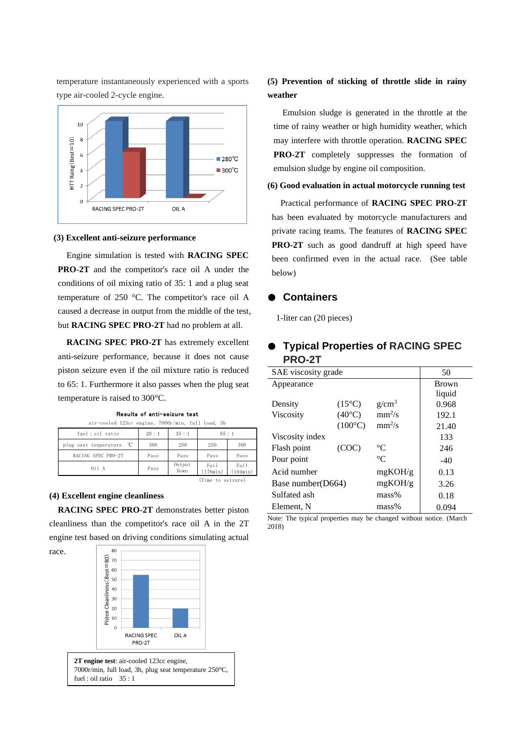

temperature instantaneously experienced with a sports

type air-cooled 2-cycle engine.

#### **(3) Excellent anti-seizure performance**

Engine simulation is tested with **RACING SPEC PRO-2T** and the competitor's race oil A under the conditions of oil mixing ratio of 35: 1 and a plug seat temperature of 250 °C. The competitor's race oil A caused a decrease in output from the middle of the test, but **RACING SPEC PRO-2T** had no problem at all.

**RACING SPEC PRO-2T** has extremely excellent anti-seizure performance, because it does not cause piston seizure even if the oil mixture ratio is reduced to 65: 1. Furthermore it also passes when the plug seat temperature is raised to 300°C.

| air-cooled 123cc engine, 7000r/min, full load, 3h |      |                |                  |                  |  |
|---------------------------------------------------|------|----------------|------------------|------------------|--|
| fuel: oil ratio                                   | 20:1 | 35:1           | 65:1             |                  |  |
| $^{\circ}$ C<br>plug seat tenperature             | 300  | 250            | 250              | 300              |  |
| RACING SPEC PRO-2T                                | Pass | Pass           | Pass             | Pass             |  |
| 0i1A                                              | Pass | Output<br>Down | Fail<br>(176min) | Fail<br>(104min) |  |
| (Time to seizure)                                 |      |                |                  |                  |  |

Results of anti-seizure test

#### **(4) Excellent engine cleanliness**

race.

**RACING SPEC PRO-2T** demonstrates better piston cleanliness than the competitor's race oil A in the 2T engine test based on driving conditions simulating actual



**2T engine test**: air-cooled 123cc engine, 7000r/min, full load, 3h, plug seat temperature 250°C, fuel : oil ratio 35 : 1

# **(5) Prevention of sticking of throttle slide in rainy weather**

 Emulsion sludge is generated in the throttle at the time of rainy weather or high humidity weather, which may interfere with throttle operation. **RACING SPEC PRO-2T** completely suppresses the formation of emulsion sludge by engine oil composition.

#### **(6) Good evaluation in actual motorcycle running test**

Practical performance of **RACING SPEC PRO-2T** has been evaluated by motorcycle manufacturers and private racing teams. The features of **RACING SPEC PRO-2T** such as good dandruff at high speed have been confirmed even in the actual race. (See table below)

### ● **Containers**

1-liter can (20 pieces)

# ● **Typical Properties of RACING SPEC PRO-2T**

| SAE viscosity grade |                  |                 | 50           |
|---------------------|------------------|-----------------|--------------|
| Appearance          |                  |                 | <b>Brown</b> |
|                     |                  |                 | liquid       |
| Density             | $(15^{\circ}C)$  | $g/cm^3$        | 0.968        |
| Viscosity           | $(40^{\circ}C)$  | $mm^2/s$        | 192.1        |
|                     | $(100^{\circ}C)$ | $mm^2/s$        | 21.40        |
| Viscosity index     |                  |                 | 133          |
| Flash point         | (COC)            | $\rm ^{\circ}C$ | 246          |
| Pour point          |                  | $^{\circ}C$     | $-40$        |
| Acid number         |                  | mgKOH/g         | 0.13         |
| Base number(D664)   |                  | mgKOH/g         | 3.26         |
| Sulfated ash        |                  | $mass\%$        | 0.18         |
| Element. N          |                  | $mass\%$        | 0.094        |

Note: The typical properties may be changed without notice. (March 2018)